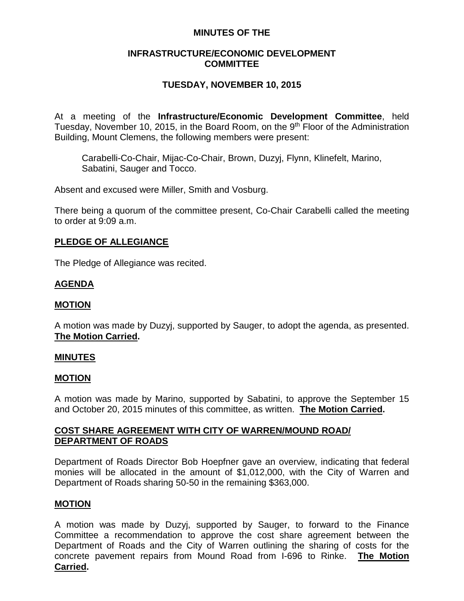## **MINUTES OF THE**

## **INFRASTRUCTURE/ECONOMIC DEVELOPMENT COMMITTEE**

# **TUESDAY, NOVEMBER 10, 2015**

At a meeting of the **Infrastructure/Economic Development Committee**, held Tuesday, November 10, 2015, in the Board Room, on the 9<sup>th</sup> Floor of the Administration Building, Mount Clemens, the following members were present:

Carabelli-Co-Chair, Mijac-Co-Chair, Brown, Duzyj, Flynn, Klinefelt, Marino, Sabatini, Sauger and Tocco.

Absent and excused were Miller, Smith and Vosburg.

There being a quorum of the committee present, Co-Chair Carabelli called the meeting to order at 9:09 a.m.

## **PLEDGE OF ALLEGIANCE**

The Pledge of Allegiance was recited.

## **AGENDA**

### **MOTION**

A motion was made by Duzyj, supported by Sauger, to adopt the agenda, as presented. **The Motion Carried.**

### **MINUTES**

### **MOTION**

A motion was made by Marino, supported by Sabatini, to approve the September 15 and October 20, 2015 minutes of this committee, as written. **The Motion Carried.**

## **COST SHARE AGREEMENT WITH CITY OF WARREN/MOUND ROAD/ DEPARTMENT OF ROADS**

Department of Roads Director Bob Hoepfner gave an overview, indicating that federal monies will be allocated in the amount of \$1,012,000, with the City of Warren and Department of Roads sharing 50-50 in the remaining \$363,000.

### **MOTION**

A motion was made by Duzyj, supported by Sauger, to forward to the Finance Committee a recommendation to approve the cost share agreement between the Department of Roads and the City of Warren outlining the sharing of costs for the concrete pavement repairs from Mound Road from I-696 to Rinke. **The Motion Carried.**